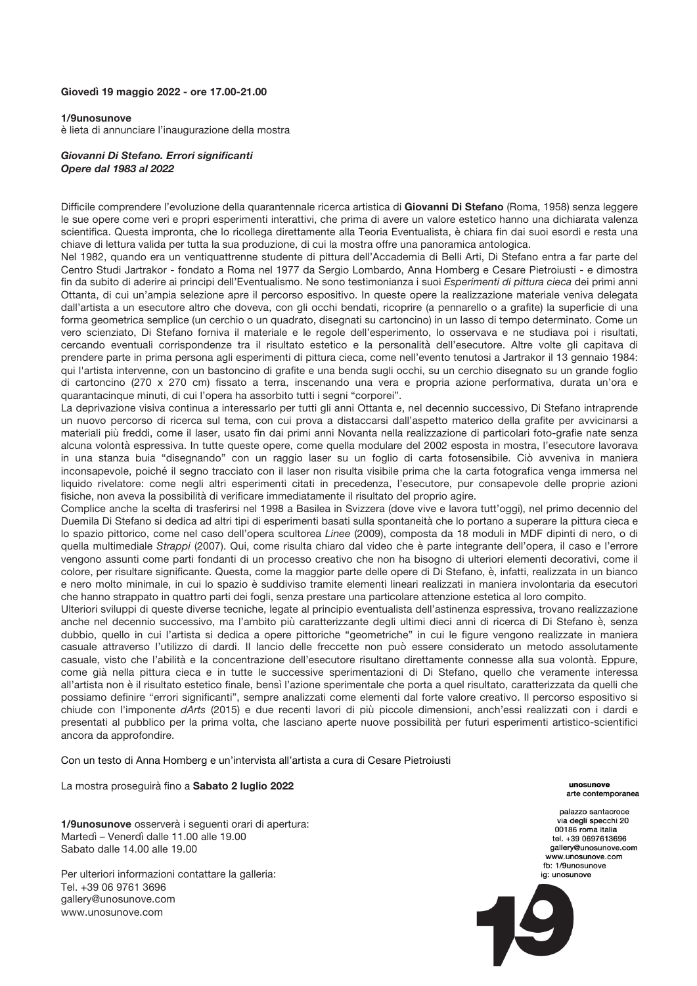## **Giovedì 19 maggio 2022 - ore 17.00-21.00**

## **1/9unosunove**

è lieta di annunciare l'inaugurazione della mostra

## *Giovanni Di Stefano. Errori significanti Opere dal 1983 al 2022*

Difficile comprendere l'evoluzione della quarantennale ricerca artistica di **Giovanni Di Stefano** (Roma, 1958) senza leggere le sue opere come veri e propri esperimenti interattivi, che prima di avere un valore estetico hanno una dichiarata valenza scientifica. Questa impronta, che lo ricollega direttamente alla Teoria Eventualista, è chiara fin dai suoi esordi e resta una chiave di lettura valida per tutta la sua produzione, di cui la mostra offre una panoramica antologica.

Nel 1982, quando era un ventiquattrenne studente di pittura dell'Accademia di Belli Arti, Di Stefano entra a far parte del Centro Studi Jartrakor - fondato a Roma nel 1977 da Sergio Lombardo, Anna Homberg e Cesare Pietroiusti - e dimostra fin da subito di aderire ai principi dell'Eventualismo. Ne sono testimonianza i suoi *Esperimenti di pittura cieca* dei primi anni Ottanta, di cui un'ampia selezione apre il percorso espositivo. In queste opere la realizzazione materiale veniva delegata dall'artista a un esecutore altro che doveva, con gli occhi bendati, ricoprire (a pennarello o a grafite) la superficie di una forma geometrica semplice (un cerchio o un quadrato, disegnati su cartoncino) in un lasso di tempo determinato. Come un vero scienziato, Di Stefano forniva il materiale e le regole dell'esperimento, lo osservava e ne studiava poi i risultati, cercando eventuali corrispondenze tra il risultato estetico e la personalità dell'esecutore. Altre volte gli capitava di prendere parte in prima persona agli esperimenti di pittura cieca, come nell'evento tenutosi a Jartrakor il 13 gennaio 1984: qui l'artista intervenne, con un bastoncino di grafite e una benda sugli occhi, su un cerchio disegnato su un grande foglio di cartoncino (270 x 270 cm) fissato a terra, inscenando una vera e propria azione performativa, durata un'ora e quarantacinque minuti, di cui l'opera ha assorbito tutti i segni "corporei".

La deprivazione visiva continua a interessarlo per tutti gli anni Ottanta e, nel decennio successivo, Di Stefano intraprende un nuovo percorso di ricerca sul tema, con cui prova a distaccarsi dall'aspetto materico della grafite per avvicinarsi a materiali più freddi, come il laser, usato fin dai primi anni Novanta nella realizzazione di particolari foto-grafie nate senza alcuna volontà espressiva. In tutte queste opere, come quella modulare del 2002 esposta in mostra, l'esecutore lavorava in una stanza buia "disegnando" con un raggio laser su un foglio di carta fotosensibile. Ciò avveniva in maniera inconsapevole, poiché il segno tracciato con il laser non risulta visibile prima che la carta fotografica venga immersa nel liquido rivelatore: come negli altri esperimenti citati in precedenza, l'esecutore, pur consapevole delle proprie azioni fisiche, non aveva la possibilità di verificare immediatamente il risultato del proprio agire.

Complice anche la scelta di trasferirsi nel 1998 a Basilea in Svizzera (dove vive e lavora tutt'oggi), nel primo decennio del Duemila Di Stefano si dedica ad altri tipi di esperimenti basati sulla spontaneità che lo portano a superare la pittura cieca e lo spazio pittorico, come nel caso dell'opera scultorea *Linee* (2009), composta da 18 moduli in MDF dipinti di nero, o di quella multimediale *Strappi* (2007). Qui, come risulta chiaro dal video che è parte integrante dell'opera, il caso e l'errore vengono assunti come parti fondanti di un processo creativo che non ha bisogno di ulteriori elementi decorativi, come il colore, per risultare significante. Questa, come la maggior parte delle opere di Di Stefano, è, infatti, realizzata in un bianco e nero molto minimale, in cui lo spazio è suddiviso tramite elementi lineari realizzati in maniera involontaria da esecutori che hanno strappato in quattro parti dei fogli, senza prestare una particolare attenzione estetica al loro compito.

Ulteriori sviluppi di queste diverse tecniche, legate al principio eventualista dell'astinenza espressiva, trovano realizzazione anche nel decennio successivo, ma l'ambito più caratterizzante degli ultimi dieci anni di ricerca di Di Stefano è, senza dubbio, quello in cui l'artista si dedica a opere pittoriche "geometriche" in cui le figure vengono realizzate in maniera casuale attraverso l'utilizzo di dardi. Il lancio delle freccette non può essere considerato un metodo assolutamente casuale, visto che l'abilità e la concentrazione dell'esecutore risultano direttamente connesse alla sua volontà. Eppure, come già nella pittura cieca e in tutte le successive sperimentazioni di Di Stefano, quello che veramente interessa all'artista non è il risultato estetico finale, bensì l'azione sperimentale che porta a quel risultato, caratterizzata da quelli che possiamo definire "errori significanti", sempre analizzati come elementi dal forte valore creativo. Il percorso espositivo si chiude con l'imponente *dArts* (2015) e due recenti lavori di più piccole dimensioni, anch'essi realizzati con i dardi e presentati al pubblico per la prima volta, che lasciano aperte nuove possibilità per futuri esperimenti artistico-scientifici ancora da approfondire.

Con un testo di Anna Homberg e un'intervista all'artista a cura di Cesare Pietroiusti

La mostra proseguirà fino a **Sabato 2 luglio 2022**

**1/9unosunove** osserverà i seguenti orari di apertura: Martedì – Venerdì dalle 11.00 alle 19.00 Sabato dalle 14.00 alle 19.00

Per ulteriori informazioni contattare la galleria: Tel. +39 06 9761 3696 gallery@unosunove.com www.unosunove.com

**UDOSUDOVA** arte contemporanea

palazzo santacroce via degli specchi 20 00186 roma italia tel. +39 0697613696 gallery@unosunove.com WWW UDOSUDOVE COM fb: 1/9unosunove ia: unosunove